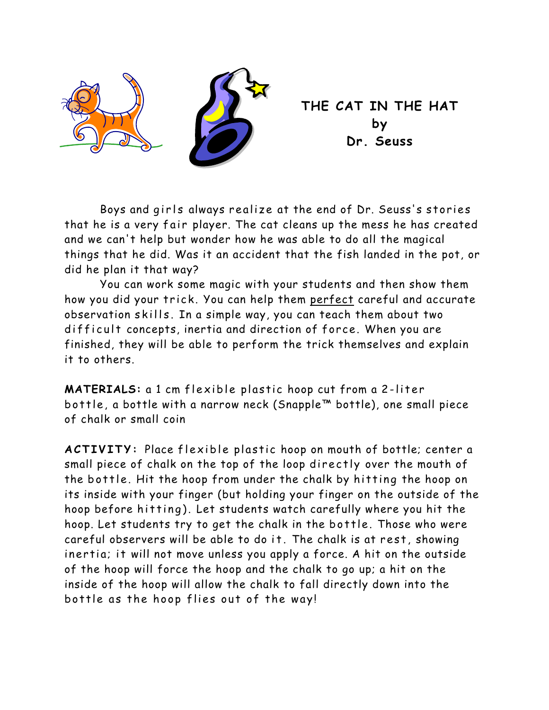

 **THE CAT IN THE HAT by Dr. Seuss** 

Boys and girls always realize at the end of Dr. Seuss's stories that he is a very fair player. The cat cleans up the mess he has created and we can't help but wonder how he was able to do all the magical things that he did. Was it an accident that the fish landed in the pot, or did he plan it that way?

You can work some magic with your students and then show them how you did your trick. You can help them perfect careful and accurate observation skills. In a simple way, you can teach them about two difficult concepts, inertia and direction of force. When you are finished, they will be able to perform the trick themselves and explain it to others.

**MATERIALS:** a 1 cm flexible plastic hoop cut from a 2-liter bottle, a bottle with a narrow neck (Snapple™ bottle), one small piece of chalk or small coin

**ACTIVITY:** Place flexible plastic hoop on mouth of bottle; center a small piece of chalk on the top of the loop directly over the mouth of the bottle. Hit the hoop from under the chalk by hitting the hoop on its inside with your finger (but holding your finger on the outside of the hoop before hitting). Let students watch carefully where you hit the hoop. Let students try to get the chalk in the bottle. Those who were careful observers will be able to do it. The chalk is at rest, showing inertia; it will not move unless you apply a force. A hit on the outside of the hoop will force the hoop and the chalk to go up; a hit on the inside of the hoop will allow the chalk to fall directly down into the bottle as the hoop flies out of the way!